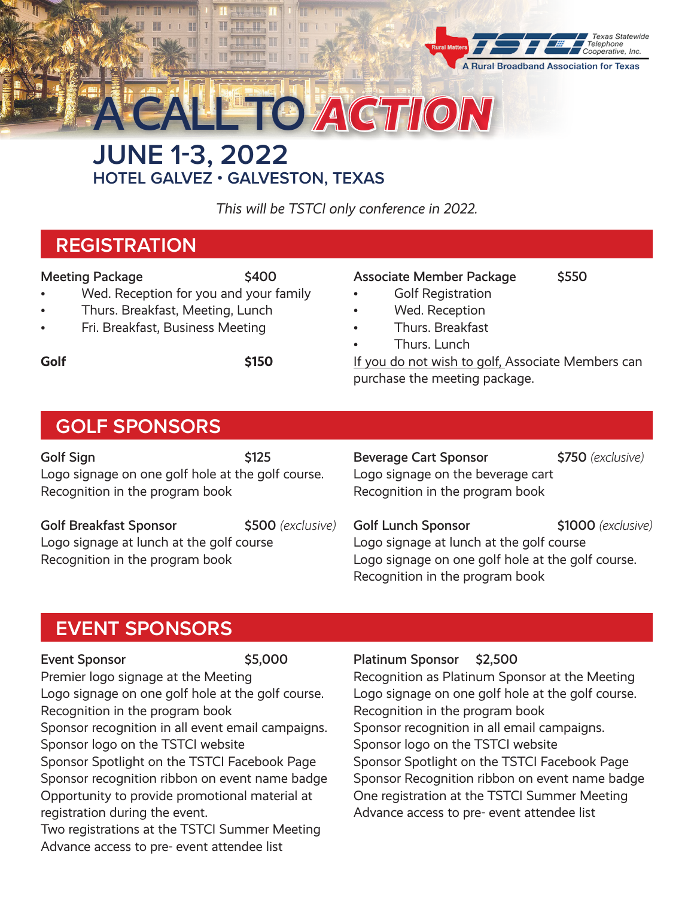

**JUNE 1-3, 2022** A CALL TO*ACTION*

**HOTEL GALVEZ • GALVESTON, TEXAS**

*This will be TSTCI only conference in 2022.*

# **REGISTRATION**

#### Meeting Package \$400

- Wed. Reception for you and your family
- Thurs. Breakfast, Meeting, Lunch
- Fri. Breakfast, Business Meeting

**Golf**  $\leftarrow$  \$150

### Associate Member Package \$550

- Golf Registration
- Wed. Reception
- Thurs. Breakfast
- Thurs. Lunch

If you do not wish to golf, Associate Members can purchase the meeting package.

## **GOLF SPONSORS**

Golf Sign \$125 Logo signage on one golf hole at the golf course. Recognition in the program book

Golf Breakfast Sponsor **\$500** *(exclusive)* Logo signage at lunch at the golf course Recognition in the program book

Beverage Cart Sponsor **\$750** *(exclusive)* Logo signage on the beverage cart Recognition in the program book

Golf Lunch Sponsor **\$1000** *(exclusive)* Logo signage at lunch at the golf course Logo signage on one golf hole at the golf course. Recognition in the program book

### **EVENT SPONSORS**

### Event Sponsor \$5,000 Premier logo signage at the Meeting Logo signage on one golf hole at the golf course. Recognition in the program book Sponsor recognition in all event email campaigns. Sponsor logo on the TSTCI website Sponsor Spotlight on the TSTCI Facebook Page

Sponsor recognition ribbon on event name badge Opportunity to provide promotional material at registration during the event.

Two registrations at the TSTCI Summer Meeting Advance access to pre- event attendee list

Platinum Sponsor \$2,500

Recognition as Platinum Sponsor at the Meeting Logo signage on one golf hole at the golf course. Recognition in the program book Sponsor recognition in all email campaigns. Sponsor logo on the TSTCI website Sponsor Spotlight on the TSTCI Facebook Page Sponsor Recognition ribbon on event name badge One registration at the TSTCI Summer Meeting Advance access to pre- event attendee list